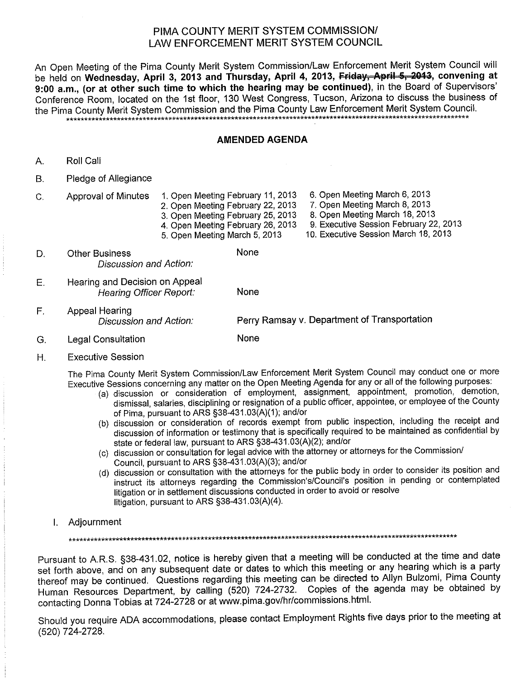## PIMA COUNTY MERIT SYSTEM COMMISSION/ LAW ENFORCEMENT MERIT SYSTEM COUNCIL

An Open Meeting of the Pima County Merit System Commission/Law Enforcement Merit System Council will be held on Wednesday, April 3, 2013 and Thursday, April 4, 2013, Friday, April 5, 2013, convening at 9:00 a.m., (or at other such time to which the hearing may be continued), in the Board of Supervisors' Conference Room, located on the 1st floor, 130 West Congress, Tucson, Arizona to discuss the business of the Pima County Merit System Commission and the Pima County Law Enforcement Merit System Council. 

#### **AMENDED AGENDA**

- Roll Call А.
- $B.$ Pledge of Allegiance
- 1. Open Meeting February 11, 2013  $C<sub>1</sub>$ **Approval of Minutes** 
	- 2. Open Meeting February 22, 2013
		- 3. Open Meeting February 25, 2013
		- 4. Open Meeting February 26, 2013
		- 5. Open Meeting March 5, 2013
- None **Other Business** D. Discussion and Action:
- Hearing and Decision on Appeal  $E.$ Hearing Officer Report: None
- $F_{\perp}$ **Appeal Hearing** Perry Ramsay v. Department of Transportation Discussion and Action:

None

- **Legal Consultation** G.
- Η. **Executive Session**

The Pima County Merit System Commission/Law Enforcement Merit System Council may conduct one or more Executive Sessions concerning any matter on the Open Meeting Agenda for any or all of the following purposes:

- (a) discussion or consideration of employment, assignment, appointment, promotion, demotion, dismissal, salaries, disciplining or resignation of a public officer, appointee, or employee of the County of Pima, pursuant to ARS §38-431.03(A)(1); and/or
- (b) discussion or consideration of records exempt from public inspection, including the receipt and discussion of information or testimony that is specifically required to be maintained as confidential by state or federal law, pursuant to ARS §38-431.03(A)(2); and/or
- (c) discussion or consultation for legal advice with the attorney or attorneys for the Commission/ Council, pursuant to ARS §38-431.03(A)(3); and/or
- (d) discussion or consultation with the attorneys for the public body in order to consider its position and instruct its attorneys regarding the Commission's/Council's position in pending or contemplated litigation or in settlement discussions conducted in order to avoid or resolve litigation, pursuant to ARS §38-431.03(A)(4).
- I. Adjournment

Pursuant to A.R.S. §38-431.02, notice is hereby given that a meeting will be conducted at the time and date set forth above, and on any subsequent date or dates to which this meeting or any hearing which is a party thereof may be continued. Questions regarding this meeting can be directed to Allyn Bulzomi, Pima County Human Resources Department, by calling (520) 724-2732. Copies of the agenda may be obtained by contacting Donna Tobias at 724-2728 or at www.pima.gov/hr/commissions.html.

Should you require ADA accommodations, please contact Employment Rights five days prior to the meeting at (520) 724-2728.

- 6. Open Meeting March 6, 2013
- 7. Open Meeting March 8, 2013
- 8. Open Meeting March 18, 2013
- 9. Executive Session February 22, 2013
- 10. Executive Session March 18, 2013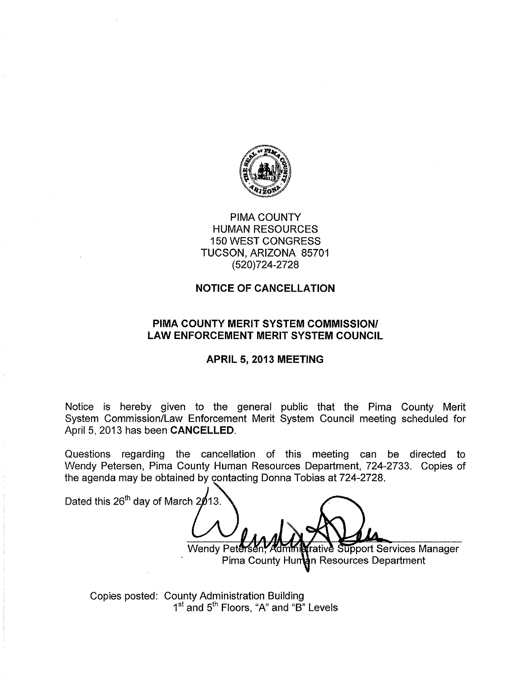

# **PIMA COUNTY HUMAN RESOURCES 150 WEST CONGRESS** TUCSON, ARIZONA 85701 (520) 724-2728

## **NOTICE OF CANCELLATION**

## PIMA COUNTY MERIT SYSTEM COMMISSION/ **LAW ENFORCEMENT MERIT SYSTEM COUNCIL**

#### APRIL 5, 2013 MEETING

Notice is hereby given to the general public that the Pima County Merit System Commission/Law Enforcement Merit System Council meeting scheduled for April 5, 2013 has been CANCELLED.

Questions regarding the cancellation of this meeting can be directed to Wendy Petersen, Pima County Human Resources Department, 724-2733. Copies of the agenda may be obtained by contacting Donna Tobias at 724-2728.

Dated this 26<sup>th</sup> day of March 2013. **frative Support Services Manager** Wendy Peter Pima County Human Resources Department

Copies posted: County Administration Building 1<sup>st</sup> and 5<sup>th</sup> Floors, "A" and "B" Levels